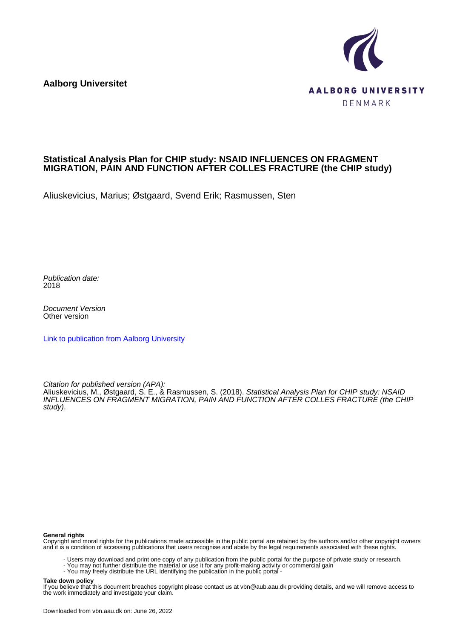**Aalborg Universitet**



#### **Statistical Analysis Plan for CHIP study: NSAID INFLUENCES ON FRAGMENT MIGRATION, PAIN AND FUNCTION AFTER COLLES FRACTURE (the CHIP study)**

Aliuskevicius, Marius; Østgaard, Svend Erik; Rasmussen, Sten

Publication date: 2018

Document Version Other version

[Link to publication from Aalborg University](https://vbn.aau.dk/en/publications/6f3d71cc-a5d9-4a04-bf7b-fb42fb4e409c)

Citation for published version (APA):

Aliuskevicius, M., Østgaard, S. E., & Rasmussen, S. (2018). *Statistical Analysis Plan for CHIP study: NSAID* INFLUENCES ON FRAGMENT MIGRATION, PAIN AND FUNCTION AFTER COLLES FRACTURE (the CHIP study).

#### **General rights**

Copyright and moral rights for the publications made accessible in the public portal are retained by the authors and/or other copyright owners and it is a condition of accessing publications that users recognise and abide by the legal requirements associated with these rights.

- Users may download and print one copy of any publication from the public portal for the purpose of private study or research.
- You may not further distribute the material or use it for any profit-making activity or commercial gain
- You may freely distribute the URL identifying the publication in the public portal -

#### **Take down policy**

If you believe that this document breaches copyright please contact us at vbn@aub.aau.dk providing details, and we will remove access to the work immediately and investigate your claim.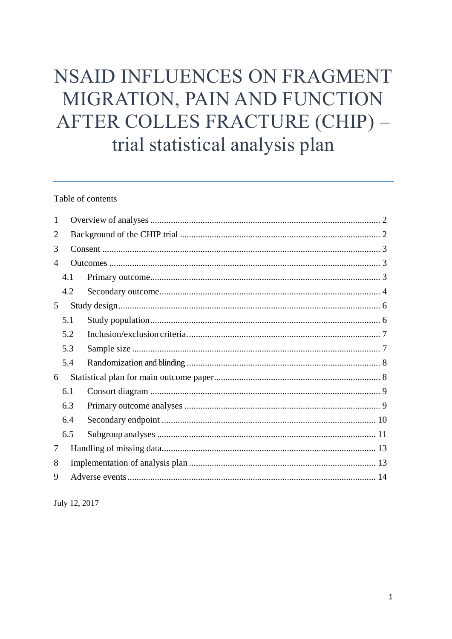# NSAID INFLUENCES ON FRAGMENT MIGRATION, PAIN AND FUNCTION AFTER COLLES FRACTURE (CHIP) trial statistical analysis plan

# Table of contents

| 1 |     |  |  |  |  |  |  |
|---|-----|--|--|--|--|--|--|
| 2 |     |  |  |  |  |  |  |
| 3 |     |  |  |  |  |  |  |
| 4 |     |  |  |  |  |  |  |
|   | 4.1 |  |  |  |  |  |  |
|   | 4.2 |  |  |  |  |  |  |
| 5 |     |  |  |  |  |  |  |
|   | 5.1 |  |  |  |  |  |  |
|   | 5.2 |  |  |  |  |  |  |
|   | 5.3 |  |  |  |  |  |  |
|   | 5.4 |  |  |  |  |  |  |
| 6 |     |  |  |  |  |  |  |
|   | 6.1 |  |  |  |  |  |  |
|   | 6.3 |  |  |  |  |  |  |
|   | 6.4 |  |  |  |  |  |  |
|   | 6.5 |  |  |  |  |  |  |
| 7 |     |  |  |  |  |  |  |
| 8 |     |  |  |  |  |  |  |
| 9 |     |  |  |  |  |  |  |
|   |     |  |  |  |  |  |  |

July 12, 2017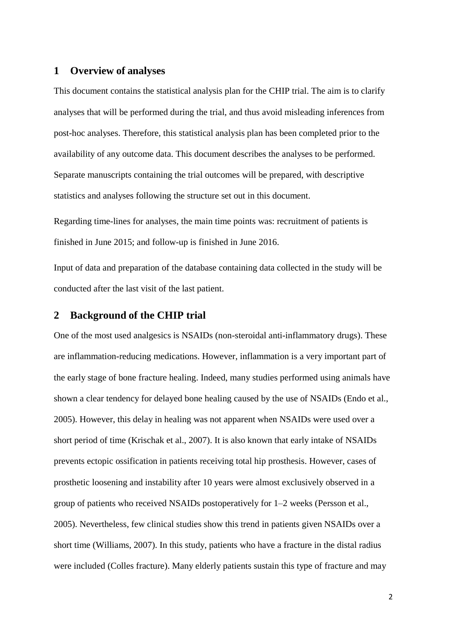# <span id="page-2-0"></span>**1 Overview of analyses**

This document contains the statistical analysis plan for the CHIP trial. The aim is to clarify analyses that will be performed during the trial, and thus avoid misleading inferences from post-hoc analyses. Therefore, this statistical analysis plan has been completed prior to the availability of any outcome data. This document describes the analyses to be performed. Separate manuscripts containing the trial outcomes will be prepared, with descriptive statistics and analyses following the structure set out in this document.

Regarding time-lines for analyses, the main time points was: recruitment of patients is finished in June 2015; and follow-up is finished in June 2016.

Input of data and preparation of the database containing data collected in the study will be conducted after the last visit of the last patient.

# <span id="page-2-1"></span>**2 Background of the CHIP trial**

One of the most used analgesics is NSAIDs (non-steroidal anti-inflammatory drugs). These are inflammation-reducing medications. However, inflammation is a very important part of the early stage of bone fracture healing. Indeed, many studies performed using animals have shown a clear tendency for delayed bone healing caused by the use of NSAIDs (Endo et al., 2005). However, this delay in healing was not apparent when NSAIDs were used over a short period of time (Krischak et al., 2007). It is also known that early intake of NSAIDs prevents ectopic ossification in patients receiving total hip prosthesis. However, cases of prosthetic loosening and instability after 10 years were almost exclusively observed in a group of patients who received NSAIDs postoperatively for 1–2 weeks (Persson et al., 2005). Nevertheless, few clinical studies show this trend in patients given NSAIDs over a short time (Williams, 2007). In this study, patients who have a fracture in the distal radius were included (Colles fracture). Many elderly patients sustain this type of fracture and may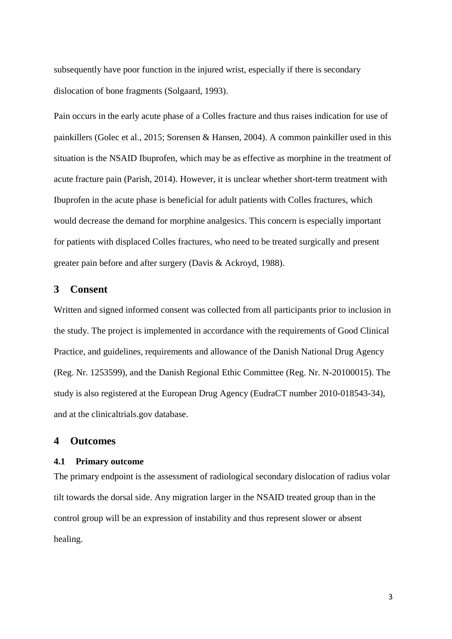subsequently have poor function in the injured wrist, especially if there is secondary dislocation of bone fragments (Solgaard, 1993).

Pain occurs in the early acute phase of a Colles fracture and thus raises indication for use of painkillers (Golec et al., 2015; Sorensen & Hansen, 2004). A common painkiller used in this situation is the NSAID Ibuprofen, which may be as effective as morphine in the treatment of acute fracture pain (Parish, 2014). However, it is unclear whether short-term treatment with Ibuprofen in the acute phase is beneficial for adult patients with Colles fractures, which would decrease the demand for morphine analgesics. This concern is especially important for patients with displaced Colles fractures, who need to be treated surgically and present greater pain before and after surgery (Davis & Ackroyd, 1988).

# <span id="page-3-0"></span>**3 Consent**

Written and signed informed consent was collected from all participants prior to inclusion in the study. The project is implemented in accordance with the requirements of Good Clinical Practice, and guidelines, requirements and allowance of the Danish National Drug Agency (Reg. Nr. 1253599), and the Danish Regional Ethic Committee (Reg. Nr. N-20100015). The study is also registered at the European Drug Agency (EudraCT number 2010-018543-34), and at the clinicaltrials.gov database.

#### <span id="page-3-1"></span>**4 Outcomes**

#### <span id="page-3-2"></span>**4.1 Primary outcome**

The primary endpoint is the assessment of radiological secondary dislocation of radius volar tilt towards the dorsal side. Any migration larger in the NSAID treated group than in the control group will be an expression of instability and thus represent slower or absent healing.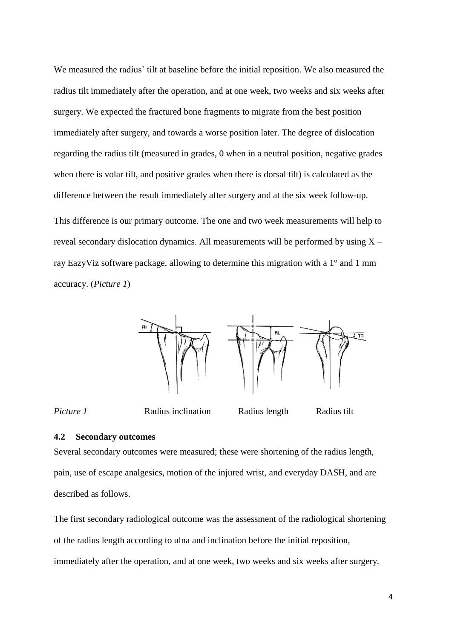We measured the radius' tilt at baseline before the initial reposition. We also measured the radius tilt immediately after the operation, and at one week, two weeks and six weeks after surgery. We expected the fractured bone fragments to migrate from the best position immediately after surgery, and towards a worse position later. The degree of dislocation regarding the radius tilt (measured in grades, 0 when in a neutral position, negative grades when there is volar tilt, and positive grades when there is dorsal tilt) is calculated as the difference between the result immediately after surgery and at the six week follow-up. This difference is our primary outcome. The one and two week measurements will help to reveal secondary dislocation dynamics. All measurements will be performed by using  $X -$ 

ray EazyViz software package, allowing to determine this migration with a 1° and 1 mm accuracy. (*Picture 1*)



*Picture 1* **Radius inclination Radius length Radius tilt** 

#### <span id="page-4-0"></span>**4.2 Secondary outcomes**

Several secondary outcomes were measured; these were shortening of the radius length, pain, use of escape analgesics, motion of the injured wrist, and everyday DASH, and are described as follows.

The first secondary radiological outcome was the assessment of the radiological shortening of the radius length according to ulna and inclination before the initial reposition, immediately after the operation, and at one week, two weeks and six weeks after surgery.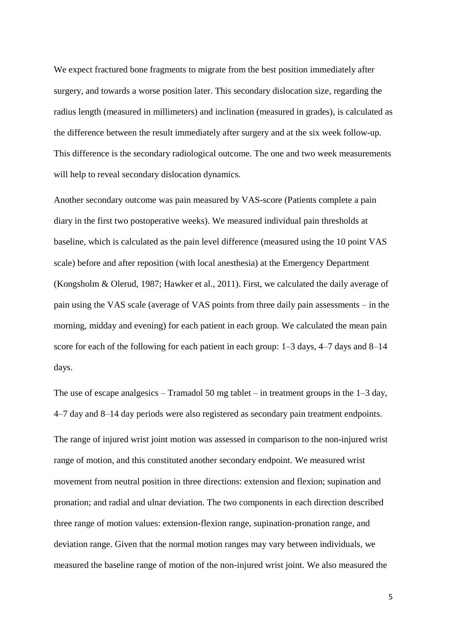We expect fractured bone fragments to migrate from the best position immediately after surgery, and towards a worse position later. This secondary dislocation size, regarding the radius length (measured in millimeters) and inclination (measured in grades), is calculated as the difference between the result immediately after surgery and at the six week follow-up. This difference is the secondary radiological outcome. The one and two week measurements will help to reveal secondary dislocation dynamics.

Another secondary outcome was pain measured by VAS-score (Patients complete a pain diary in the first two postoperative weeks). We measured individual pain thresholds at baseline, which is calculated as the pain level difference (measured using the 10 point VAS scale) before and after reposition (with local anesthesia) at the Emergency Department (Kongsholm & Olerud, 1987; Hawker et al., 2011). First, we calculated the daily average of pain using the VAS scale (average of VAS points from three daily pain assessments – in the morning, midday and evening) for each patient in each group. We calculated the mean pain score for each of the following for each patient in each group: 1–3 days, 4–7 days and 8–14 days.

The use of escape analgesics – Tramadol 50 mg tablet – in treatment groups in the 1–3 day, 4–7 day and 8–14 day periods were also registered as secondary pain treatment endpoints. The range of injured wrist joint motion was assessed in comparison to the non-injured wrist range of motion, and this constituted another secondary endpoint. We measured wrist movement from neutral position in three directions: extension and flexion; supination and pronation; and radial and ulnar deviation. The two components in each direction described three range of motion values: extension-flexion range, supination-pronation range, and deviation range. Given that the normal motion ranges may vary between individuals, we measured the baseline range of motion of the non-injured wrist joint. We also measured the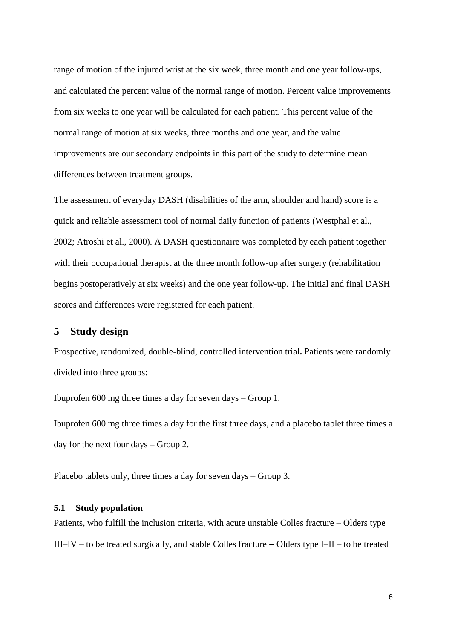range of motion of the injured wrist at the six week, three month and one year follow-ups, and calculated the percent value of the normal range of motion. Percent value improvements from six weeks to one year will be calculated for each patient. This percent value of the normal range of motion at six weeks, three months and one year, and the value improvements are our secondary endpoints in this part of the study to determine mean differences between treatment groups.

The assessment of everyday DASH (disabilities of the arm, shoulder and hand) score is a quick and reliable assessment tool of normal daily function of patients (Westphal et al., 2002; Atroshi et al., 2000). A DASH questionnaire was completed by each patient together with their occupational therapist at the three month follow-up after surgery (rehabilitation begins postoperatively at six weeks) and the one year follow-up. The initial and final DASH scores and differences were registered for each patient.

# <span id="page-6-0"></span>**5 Study design**

Prospective, randomized, double-blind, controlled intervention trial**.** Patients were randomly divided into three groups:

Ibuprofen 600 mg three times a day for seven days – Group 1.

Ibuprofen 600 mg three times a day for the first three days, and a placebo tablet three times a day for the next four days – Group 2.

Placebo tablets only, three times a day for seven days – Group 3.

#### <span id="page-6-1"></span>**5.1 Study population**

Patients, who fulfill the inclusion criteria, with acute unstable Colles fracture – Olders type III–IV – to be treated surgically, and stable Colles fracture – Olders type I–II – to be treated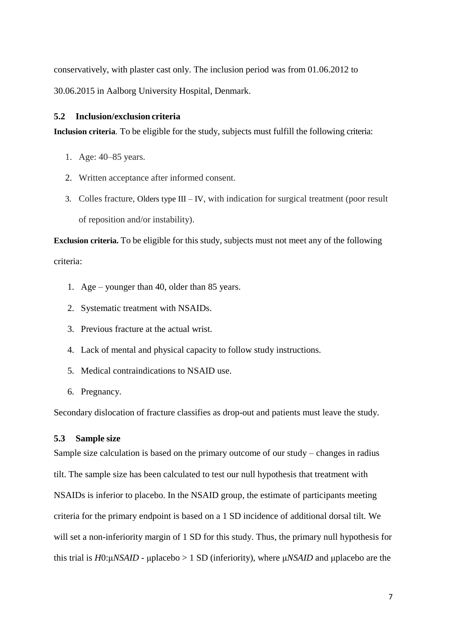conservatively, with plaster cast only. The inclusion period was from 01.06.2012 to 30.06.2015 in Aalborg University Hospital, Denmark.

### <span id="page-7-0"></span>**5.2 Inclusion/exclusion criteria**

**Inclusion criteria**. To be eligible for the study, subjects must fulfill the following criteria:

- 1. Age: 40–85 years.
- 2. Written acceptance after informed consent.
- 3. Colles fracture, Olders type III IV, with indication for surgical treatment (poor result of reposition and/or instability).

**Exclusion criteria.** To be eligible for this study, subjects must not meet any of the following criteria:

- 1. Age younger than 40, older than 85 years.
- 2. Systematic treatment with NSAIDs.
- 3. Previous fracture at the actual wrist.
- 4. Lack of mental and physical capacity to follow study instructions.
- 5. Medical contraindications to NSAID use.
- 6. Pregnancy.

Secondary dislocation of fracture classifies as drop-out and patients must leave the study.

# <span id="page-7-1"></span>**5.3 Sample size**

Sample size calculation is based on the primary outcome of our study – changes in radius tilt. The sample size has been calculated to test our null hypothesis that treatment with NSAIDs is inferior to placebo. In the NSAID group, the estimate of participants meeting criteria for the primary endpoint is based on a 1 SD incidence of additional dorsal tilt. We will set a non-inferiority margin of 1 SD for this study. Thus, the primary null hypothesis for this trial is *H*0:μ*NSAID* - μplacebo > 1 SD (inferiority), where μ*NSAID* and μplacebo are the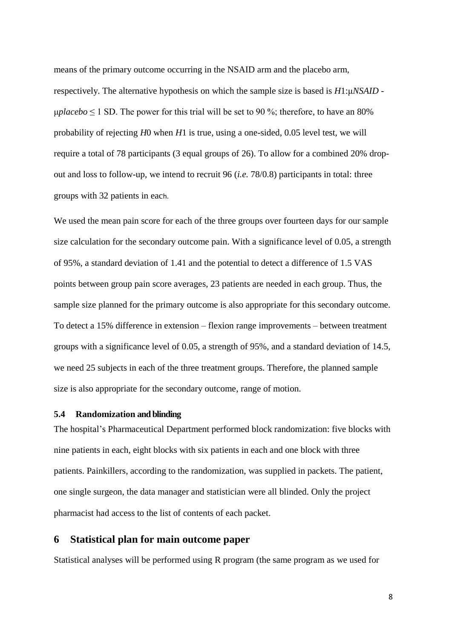means of the primary outcome occurring in the NSAID arm and the placebo arm, respectively. The alternative hypothesis on which the sample size is based is *H*1:μ*NSAID* -  $\mu\nu$ *placebo*  $\leq$  1 SD. The power for this trial will be set to 90 %; therefore, to have an 80% probability of rejecting *H*0 when *H*1 is true, using a one-sided, 0.05 level test, we will require a total of 78 participants (3 equal groups of 26). To allow for a combined 20% dropout and loss to follow-up, we intend to recruit 96 (*i.e.* 78/0.8) participants in total: three groups with 32 patients in each.

We used the mean pain score for each of the three groups over fourteen days for our sample size calculation for the secondary outcome pain. With a significance level of 0.05, a strength of 95%, a standard deviation of 1.41 and the potential to detect a difference of 1.5 VAS points between group pain score averages, 23 patients are needed in each group. Thus, the sample size planned for the primary outcome is also appropriate for this secondary outcome. To detect a 15% difference in extension – flexion range improvements – between treatment groups with a significance level of 0.05, a strength of 95%, and a standard deviation of 14.5, we need 25 subjects in each of the three treatment groups. Therefore, the planned sample size is also appropriate for the secondary outcome, range of motion.

#### <span id="page-8-0"></span>**5.4 Randomization and blinding**

The hospital's Pharmaceutical Department performed block randomization: five blocks with nine patients in each, eight blocks with six patients in each and one block with three patients. Painkillers, according to the randomization, was supplied in packets. The patient, one single surgeon, the data manager and statistician were all blinded. Only the project pharmacist had access to the list of contents of each packet.

# <span id="page-8-1"></span>**6 Statistical plan for main outcome paper**

Statistical analyses will be performed using R program (the same program as we used for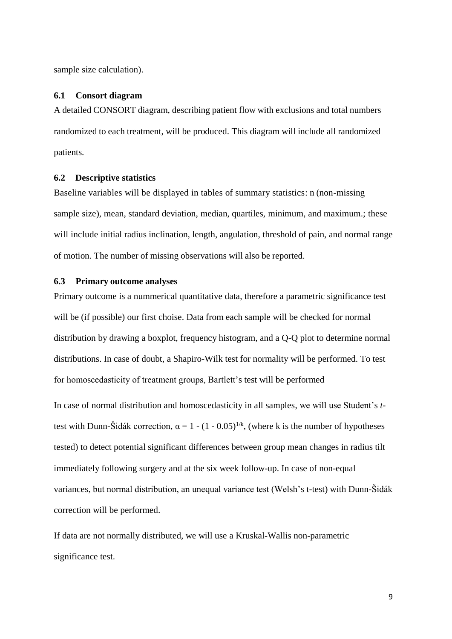sample size calculation).

#### <span id="page-9-0"></span>**6.1 Consort diagram**

A detailed CONSORT diagram, describing patient flow with exclusions and total numbers randomized to each treatment, will be produced. This diagram will include all randomized patients.

# **6.2 Descriptive statistics**

Baseline variables will be displayed in tables of summary statistics: n (non-missing sample size), mean, standard deviation, median, quartiles, minimum, and maximum.; these will include initial radius inclination, length, angulation, threshold of pain, and normal range of motion. The number of missing observations will also be reported.

#### <span id="page-9-1"></span>**6.3 Primary outcome analyses**

Primary outcome is a nummerical quantitative data, therefore a parametric significance test will be (if possible) our first choise. Data from each sample will be checked for normal distribution by drawing a boxplot, frequency histogram, and a Q-Q plot to determine normal distributions. In case of doubt, a Shapiro-Wilk test for normality will be performed. To test for homoscedasticity of treatment groups, Bartlett's test will be performed

In case of normal distribution and homoscedasticity in all samples, we will use Student's *t*test with Dunn-Šidák correction,  $\alpha = 1 - (1 - 0.05)^{1/k}$ , (where k is the number of hypotheses tested) to detect potential significant differences between group mean changes in radius tilt immediately following surgery and at the six week follow-up. In case of non-equal variances, but normal distribution, an unequal variance test (Welsh's t-test) with Dunn-Šidák correction will be performed.

If data are not normally distributed, we will use a Kruskal-Wallis non-parametric significance test.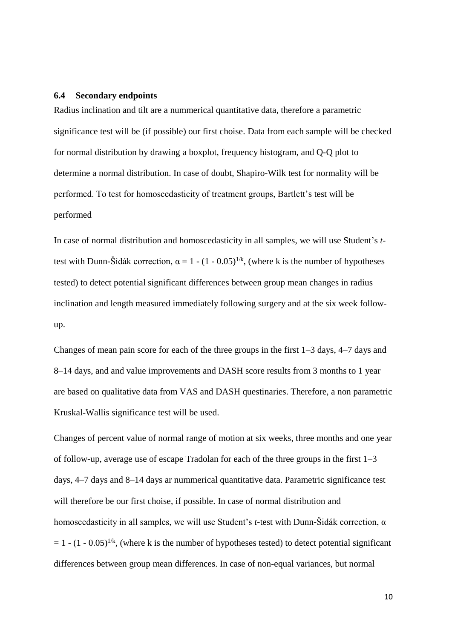#### <span id="page-10-0"></span>**6.4 Secondary endpoints**

Radius inclination and tilt are a nummerical quantitative data, therefore a parametric significance test will be (if possible) our first choise. Data from each sample will be checked for normal distribution by drawing a boxplot, frequency histogram, and Q-Q plot to determine a normal distribution. In case of doubt, Shapiro-Wilk test for normality will be performed. To test for homoscedasticity of treatment groups, Bartlett's test will be performed

In case of normal distribution and homoscedasticity in all samples, we will use Student's *t*test with Dunn-Šidák correction,  $\alpha = 1 - (1 - 0.05)^{1/k}$ , (where k is the number of hypotheses tested) to detect potential significant differences between group mean changes in radius inclination and length measured immediately following surgery and at the six week followup.

Changes of mean pain score for each of the three groups in the first 1–3 days, 4–7 days and 8–14 days, and and value improvements and DASH score results from 3 months to 1 year are based on qualitative data from VAS and DASH questinaries. Therefore, a non parametric Kruskal-Wallis significance test will be used.

Changes of percent value of normal range of motion at six weeks, three months and one year of follow-up, average use of escape Tradolan for each of the three groups in the first 1–3 days, 4–7 days and 8–14 days ar nummerical quantitative data. Parametric significance test will therefore be our first choise, if possible. In case of normal distribution and homoscedasticity in all samples, we will use Student's *t*-test with Dunn-Šidák correction, α  $= 1 - (1 - 0.05)^{1/k}$ , (where k is the number of hypotheses tested) to detect potential significant differences between group mean differences. In case of non-equal variances, but normal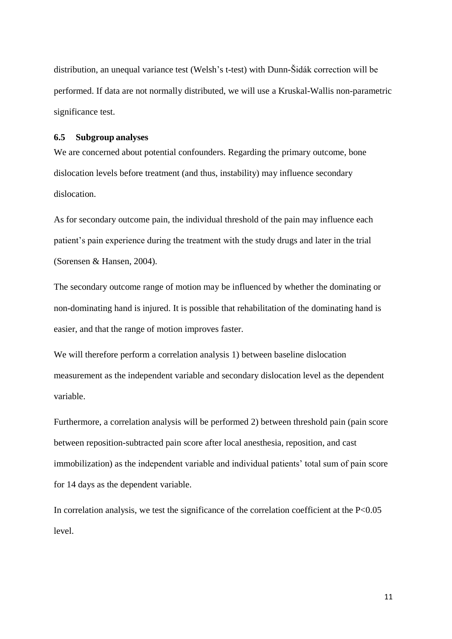distribution, an unequal variance test (Welsh's t-test) with Dunn-Šidák correction will be performed. If data are not normally distributed, we will use a Kruskal-Wallis non-parametric significance test.

## <span id="page-11-0"></span>**6.5 Subgroup analyses**

We are concerned about potential confounders. Regarding the primary outcome, bone dislocation levels before treatment (and thus, instability) may influence secondary dislocation.

As for secondary outcome pain, the individual threshold of the pain may influence each patient's pain experience during the treatment with the study drugs and later in the trial (Sorensen & Hansen, 2004).

The secondary outcome range of motion may be influenced by whether the dominating or non-dominating hand is injured. It is possible that rehabilitation of the dominating hand is easier, and that the range of motion improves faster.

We will therefore perform a correlation analysis 1) between baseline dislocation measurement as the independent variable and secondary dislocation level as the dependent variable.

Furthermore, a correlation analysis will be performed 2) between threshold pain (pain score between reposition-subtracted pain score after local anesthesia, reposition, and cast immobilization) as the independent variable and individual patients' total sum of pain score for 14 days as the dependent variable.

In correlation analysis, we test the significance of the correlation coefficient at the P<0.05 level.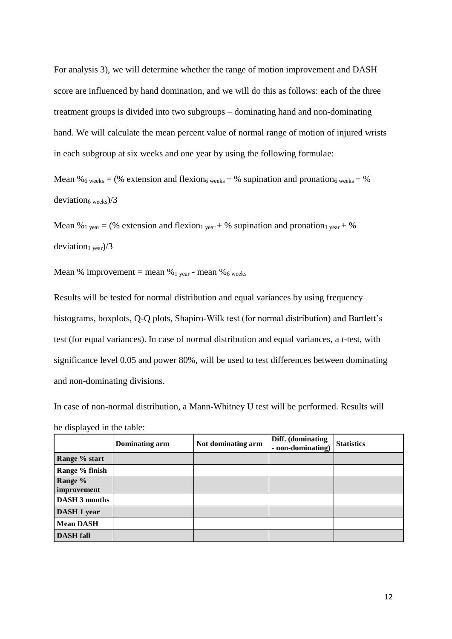For analysis 3), we will determine whether the range of motion improvement and DASH score are influenced by hand domination, and we will do this as follows: each of the three treatment groups is divided into two subgroups – dominating hand and non-dominating hand. We will calculate the mean percent value of normal range of motion of injured wrists in each subgroup at six weeks and one year by using the following formulae:

Mean %6 weeks = (% extension and flexion<sub>6</sub> weeks + % supination and pronation<sub>6</sub> weeks + % deviation<sub>6</sub> weeks)/3

Mean %<sub>1 year</sub> = (% extension and flexion<sub>1 year</sub> + % supination and pronation<sub>1 year</sub> + % deviation<sub>1 year</sub>)/3

Mean % improvement = mean % $_1$  year - mean % $_6$  weeks

Results will be tested for normal distribution and equal variances by using frequency histograms, boxplots, Q-Q plots, Shapiro-Wilk test (for normal distribution) and Bartlett's test (for equal variances). In case of normal distribution and equal variances, a *t*-test, with significance level 0.05 and power 80%, will be used to test differences between dominating and non-dominating divisions.

In case of non-normal distribution, a Mann-Whitney U test will be performed. Results will be displayed in the table:

<span id="page-12-0"></span>

|                        | Dominating arm | Not dominating arm | Diff. (dominating<br>- non-dominating) | <b>Statistics</b> |
|------------------------|----------------|--------------------|----------------------------------------|-------------------|
| Range % start          |                |                    |                                        |                   |
| Range % finish         |                |                    |                                        |                   |
| Range %<br>improvement |                |                    |                                        |                   |
| <b>DASH 3 months</b>   |                |                    |                                        |                   |
| DASH 1 year            |                |                    |                                        |                   |
| <b>Mean DASH</b>       |                |                    |                                        |                   |
| <b>DASH</b> fall       |                |                    |                                        |                   |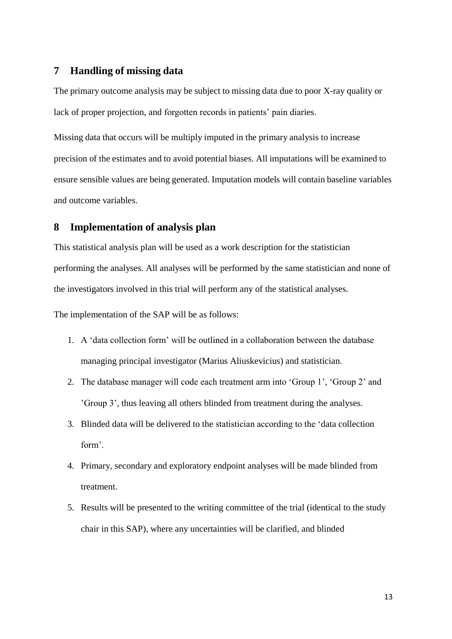# **7 Handling of missing data**

The primary outcome analysis may be subject to missing data due to poor X-ray quality or lack of proper projection, and forgotten records in patients' pain diaries.

Missing data that occurs will be multiply imputed in the primary analysis to increase precision of the estimates and to avoid potential biases. All imputations will be examined to ensure sensible values are being generated. Imputation models will contain baseline variables and outcome variables.

# <span id="page-13-0"></span>**8 Implementation of analysis plan**

This statistical analysis plan will be used as a work description for the statistician performing the analyses. All analyses will be performed by the same statistician and none of the investigators involved in this trial will perform any of the statistical analyses.

The implementation of the SAP will be as follows:

- 1. A 'data collection form' will be outlined in a collaboration between the database managing principal investigator (Marius Aliuskevicius) and statistician.
- 2. The database manager will code each treatment arm into 'Group 1', 'Group 2' and 'Group 3', thus leaving all others blinded from treatment during the analyses.
- 3. Blinded data will be delivered to the statistician according to the 'data collection form'.
- 4. Primary, secondary and exploratory endpoint analyses will be made blinded from treatment.
- 5. Results will be presented to the writing committee of the trial (identical to the study chair in this SAP), where any uncertainties will be clarified, and blinded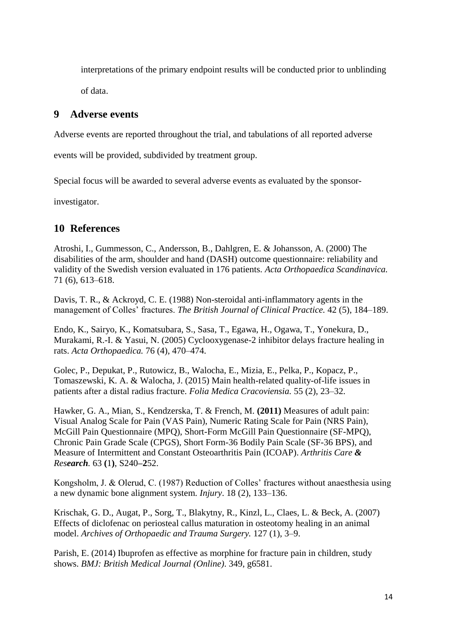interpretations of the primary endpoint results will be conducted prior to unblinding

of data.

# <span id="page-14-0"></span>**9 Adverse events**

Adverse events are reported throughout the trial, and tabulations of all reported adverse

events will be provided, subdivided by treatment group.

Special focus will be awarded to several adverse events as evaluated by the sponsor-

investigator.

# **10 References**

Atroshi, I., Gummesson, C., Andersson, B., Dahlgren, E. & Johansson, A. (2000) The disabilities of the arm, shoulder and hand (DASH) outcome questionnaire: reliability and validity of the Swedish version evaluated in 176 patients. *Acta Orthopaedica Scandinavica.* 71 (6), 613–618.

Davis, T. R., & Ackroyd, C. E. (1988) Non-steroidal anti-inflammatory agents in the management of Colles' fractures. *The British Journal of Clinical Practice.* 42 (5), 184–189.

Endo, K., Sairyo, K., Komatsubara, S., Sasa, T., Egawa, H., Ogawa, T., Yonekura, D., Murakami, R.-I. & Yasui, N. (2005) Cyclooxygenase-2 inhibitor delays fracture healing in rats. *Acta Orthopaedica.* 76 (4), 470–474.

Golec, P., Depukat, P., Rutowicz, B., Walocha, E., Mizia, E., Pelka, P., Kopacz, P., Tomaszewski, K. A. & Walocha, J. (2015) Main health-related quality-of-life issues in patients after a distal radius fracture. *Folia Medica Cracoviensia.* 55 (2), 23–32.

Hawker, G. A., Mian, S., Kendzerska, T. & French, M. **(2011)** Measures of adult pain: Visual Analog Scale for Pain (VAS Pain), Numeric Rating Scale for Pain (NRS Pain), McGill Pain Questionnaire (MPQ), Short-Form McGill Pain Questionnaire (SF-MPQ), Chronic Pain Grade Scale (CPGS), Short Form-36 Bodily Pain Scale (SF-36 BPS), and Measure of Intermittent and Constant Osteoarthritis Pain (ICOAP). *Arthritis Care & Research.* 63 **(**1**)**, S240**–2**52.

Kongsholm, J. & Olerud, C. (1987) Reduction of Colles' fractures without anaesthesia using a new dynamic bone alignment system. *Injury*. 18 (2), 133–136.

Krischak, G. D., Augat, P., Sorg, T., Blakytny, R., Kinzl, L., Claes, L. & Beck, A. (2007) Effects of diclofenac on periosteal callus maturation in osteotomy healing in an animal model. *Archives of Orthopaedic and Trauma Surgery.* 127 (1), 3–9.

Parish, E. (2014) Ibuprofen as effective as morphine for fracture pain in children, study shows. *BMJ: British Medical Journal (Online)*. 349, g6581.